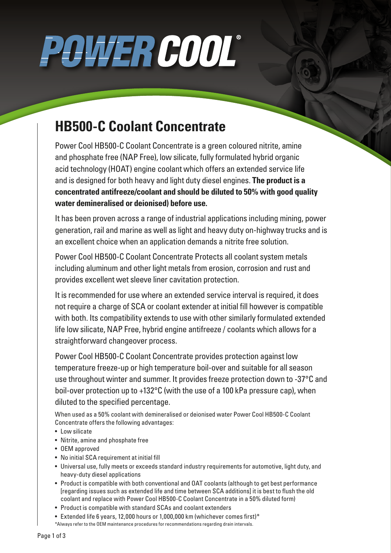# POWER COOL®

### **HB500-C Coolant Concentrate**

Power Cool HB500-C Coolant Concentrate is a green coloured nitrite, amine and phosphate free (NAP Free), low silicate, fully formulated hybrid organic acid technology (HOAT) engine coolant which offers an extended service life and is designed for both heavy and light duty diesel engines. **The product is a concentrated antifreeze/coolant and should be diluted to 50% with good quality water demineralised or deionised) before use.**

It has been proven across a range of industrial applications including mining, power generation, rail and marine as well as light and heavy duty on-highway trucks and is an excellent choice when an application demands a nitrite free solution.

Power Cool HB500-C Coolant Concentrate Protects all coolant system metals including aluminum and other light metals from erosion, corrosion and rust and provides excellent wet sleeve liner cavitation protection.

It is recommended for use where an extended service interval is required, it does not require a charge of SCA or coolant extender at initial fill however is compatible with both. Its compatibility extends to use with other similarly formulated extended life low silicate, NAP Free, hybrid engine antifreeze / coolants which allows for a straightforward changeover process.

Power Cool HB500-C Coolant Concentrate provides protection against low temperature freeze-up or high temperature boil-over and suitable for all season use throughout winter and summer. It provides freeze protection down to -37°C and boil-over protection up to +132°C (with the use of a 100 kPa pressure cap), when diluted to the specified percentage.

When used as a 50% coolant with demineralised or deionised water Power Cool HB500-C Coolant Concentrate offers the following advantages:

- Low silicate
- Nitrite, amine and phosphate free
- OEM approved
- No initial SCA requirement at initial fill
- Universal use, fully meets or exceeds standard industry requirements for automotive, light duty, and heavy-duty diesel applications
- Product is compatible with both conventional and OAT coolants (although to get best performance [regarding issues such as extended life and time between SCA additions] it is best to flush the old coolant and replace with Power Cool HB500-C Coolant Concentrate in a 50% diluted form)
- Product is compatible with standard SCAs and coolant extenders
- Extended life 6 years, 12,000 hours or 1,000,000 km (whichever comes first)\*
- \*Always refer to the OEM maintenance procedures for recommendations regarding drain intervals.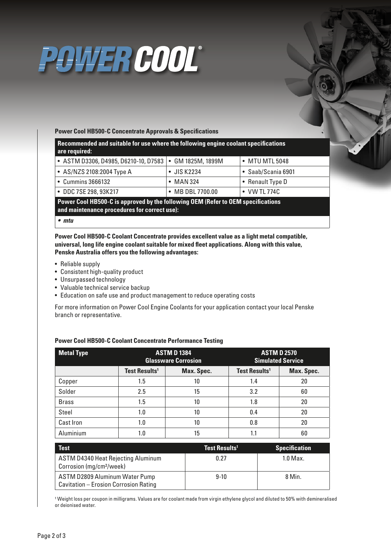### POWER COOL®

#### **Power Cool HB500-C Concentrate Approvals & Specifications**

**Recommended and suitable for use where the following engine coolant specifications are required:**

| • ASTM D3306, D4985, D6210-10, D7583   • GM 1825M, 1899M |                     | $\bullet\,$ MTU MTL 5048 $\,$ |
|----------------------------------------------------------|---------------------|-------------------------------|
| • AS/NZS 2108:2004 Type A                                | $\bullet$ JIS K2234 | $\bullet$ Saab/Scania 6901    |
| • Cummins 3666132                                        | $\bullet$ MAN 324   | • Renault Type D              |
| • DDC 7SE 298, 93K217                                    | • MB DBL 7700.00    | $\bullet$ VW TL 774C          |

**Power Cool HB500-C is approved by the following OEM (Refer to OEM specifications and maintenance procedures for correct use):**

#### *• mtu*

**Power Cool HB500-C Coolant Concentrate provides excellent value as a light metal compatible, universal, long life engine coolant suitable for mixed fleet applications. Along with this value, Penske Australia offers you the following advantages:**

- Reliable supply
- Consistent high-quality product
- Unsurpassed technology
- Valuable technical service backup
- Education on safe use and product management to reduce operating costs

For more information on Power Cool Engine Coolants for your application contact your local Penske branch or representative.

| <b>Metal Type</b> | <b>ASTM D 1384</b><br><b>Glassware Corrosion</b> |            | <b>ASTM D 2570</b><br><b>Simulated Service</b> |            |
|-------------------|--------------------------------------------------|------------|------------------------------------------------|------------|
|                   | <b>Test Results<sup>1</sup></b>                  | Max. Spec. | <b>Test Results<sup>1</sup></b>                | Max. Spec. |
| Copper            | 1.5                                              | 10         | 1.4                                            | 20         |
| Solder            | 2.5                                              | 15         | 3.2                                            | 60         |
| <b>Brass</b>      | 1.5                                              | 10         | 1.8                                            | 20         |
| Steel             | 1.0                                              | 10         | 0.4                                            | 20         |
| Cast Iron         | 1.0                                              | 10         | 0.8                                            | 20         |
| Aluminium         | 1.0                                              | 15         | 1.1                                            | 60         |

### **Power Cool HB500-C Coolant Concentrate Performance Testing**

| <b>Test</b>                                                                | Test Results <sup>1</sup> | <b>Specification</b> |
|----------------------------------------------------------------------------|---------------------------|----------------------|
| ASTM D4340 Heat Rejecting Aluminum<br>Corrosion (mg/cm <sup>2</sup> /week) | 0.27                      | $1.0$ Max.           |
| ASTM D2809 Aluminum Water Pump<br>Cavitation - Erosion Corrosion Rating    | $9-10$                    | 8 Min.               |

<sup>1</sup> Weight loss per coupon in milligrams. Values are for coolant made from virgin ethylene glycol and diluted to 50% with demineralised or deionised water.